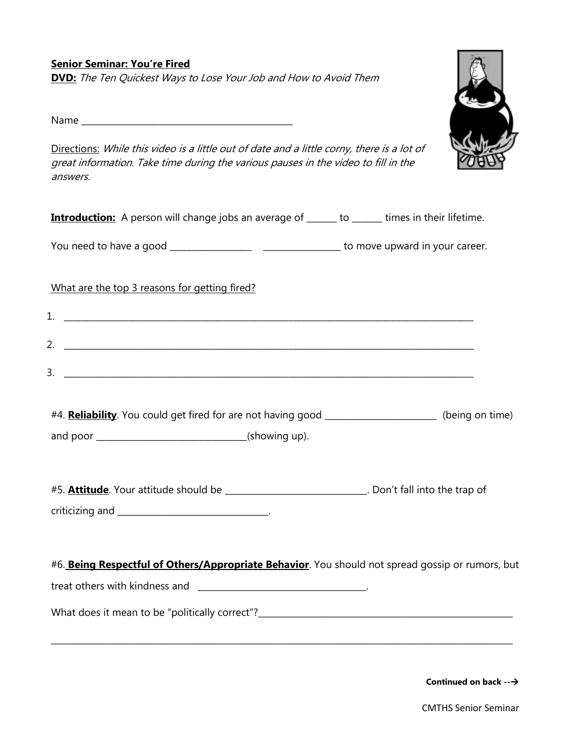**Senior Seminar: You're Fired DVD:** The Ten Quickest Ways to Lose Your Job and How to Avoid Them

Name \_\_\_\_\_\_\_\_\_\_\_\_\_\_\_\_\_\_\_\_\_\_\_\_\_\_\_\_\_\_\_\_\_\_\_\_\_\_\_\_\_\_\_\_\_\_\_\_\_

Directions: While this video is a little out of date and a little corny, there is a lot of great information. Take time during the various pauses in the video to fill in the answers.

| <b>Introduction:</b> A person will change jobs an average of ______ to ______ times in their lifetime.    |  |  |
|-----------------------------------------------------------------------------------------------------------|--|--|
|                                                                                                           |  |  |
| What are the top 3 reasons for getting fired?                                                             |  |  |
|                                                                                                           |  |  |
|                                                                                                           |  |  |
| $3.$ $\overline{\phantom{a}}$                                                                             |  |  |
|                                                                                                           |  |  |
| #4. <b>Reliability</b> . You could get fired for are not having good _____________________(being on time) |  |  |
|                                                                                                           |  |  |
|                                                                                                           |  |  |
| #5. <b>Attitude</b> . Your attitude should be _____________________________. Don't fall into the trap of  |  |  |
|                                                                                                           |  |  |
|                                                                                                           |  |  |
| #6. Being Respectful of Others/Appropriate Behavior. You should not spread gossip or rumors, but          |  |  |
|                                                                                                           |  |  |
|                                                                                                           |  |  |

\_\_\_\_\_\_\_\_\_\_\_\_\_\_\_\_\_\_\_\_\_\_\_\_\_\_\_\_\_\_\_\_\_\_\_\_\_\_\_\_\_\_\_\_\_\_\_\_\_\_\_\_\_\_\_\_\_\_\_\_\_\_\_\_\_\_\_\_\_\_\_\_\_\_\_\_\_\_\_\_\_\_\_\_\_\_\_\_\_\_\_\_\_\_\_\_\_\_\_\_\_\_\_\_\_\_\_

**Continued on back --**

CMTHS Senior Seminar